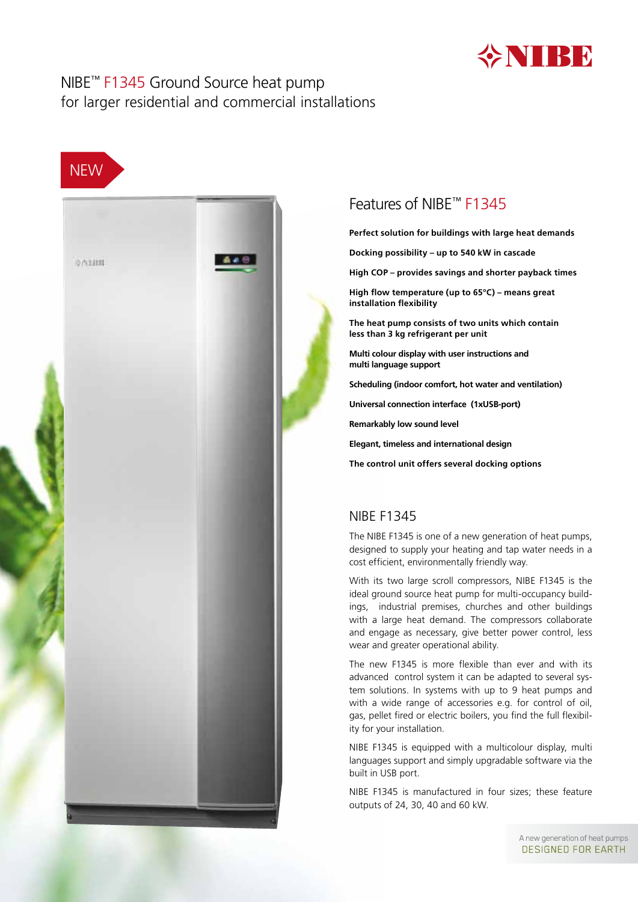

### NIBE™ F1345 Ground Source heat pump for larger residential and commercial installations





# Features of NIBE™ F1345

**Perfect solution for buildings with large heat demands**

**Docking possibility – up to 540 kW in cascade** 

**High COP – provides savings and shorter payback times**

**High flow temperature (up to 65°C) – means great installation flexibility**

**The heat pump consists of two units which contain less than 3 kg refrigerant per unit** 

**Multi colour display with user instructions and multi language support**

**Scheduling (indoor comfort, hot water and ventilation)**

**Universal connection interface (1xUSB-port)**

**Remarkably low sound level**

**Elegant, timeless and international design**

**The control unit offers several docking options**

### NIBE F1345

The NIBE F1345 is one of a new generation of heat pumps, designed to supply your heating and tap water needs in a cost efficient, environmentally friendly way.

With its two large scroll compressors, NIBE F1345 is the ideal ground source heat pump for multi-occupancy buildings, industrial premises, churches and other buildings with a large heat demand. The compressors collaborate and engage as necessary, give better power control, less wear and greater operational ability.

The new F1345 is more flexible than ever and with its advanced control system it can be adapted to several system solutions. In systems with up to 9 heat pumps and with a wide range of accessories e.g. for control of oil, gas, pellet fired or electric boilers, you find the full flexibility for your installation.

NIBE F1345 is equipped with a multicolour display, multi languages support and simply upgradable software via the built in USB port.

NIBE F1345 is manufactured in four sizes; these feature outputs of 24, 30, 40 and 60 kW.